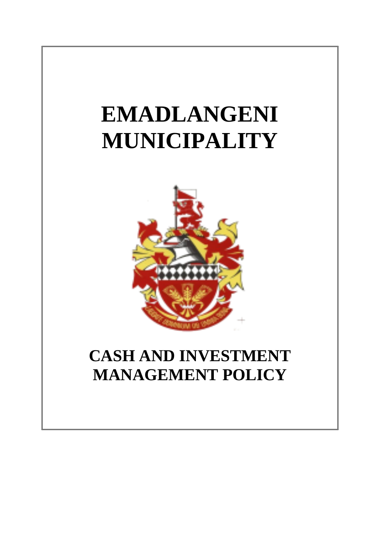# **EMADLANGENI MUNICIPALITY**



# **CASH AND INVESTMENT MANAGEMENT POLICY**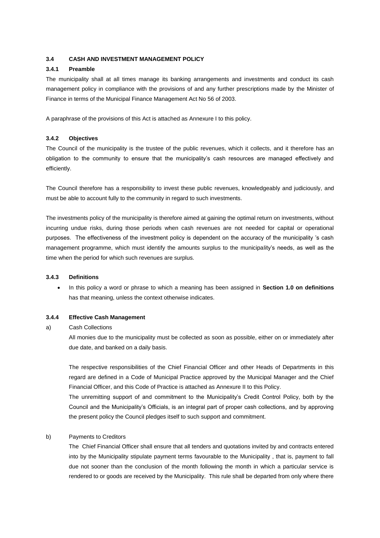# **3.4 CASH AND INVESTMENT MANAGEMENT POLICY**

# **3.4.1 Preamble**

The municipality shall at all times manage its banking arrangements and investments and conduct its cash management policy in compliance with the provisions of and any further prescriptions made by the Minister of Finance in terms of the Municipal Finance Management Act No 56 of 2003.

A paraphrase of the provisions of this Act is attached as Annexure I to this policy.

# **3.4.2 Objectives**

The Council of the municipality is the trustee of the public revenues, which it collects, and it therefore has an obligation to the community to ensure that the municipality's cash resources are managed effectively and efficiently.

The Council therefore has a responsibility to invest these public revenues, knowledgeably and judiciously, and must be able to account fully to the community in regard to such investments.

The investments policy of the municipality is therefore aimed at gaining the optimal return on investments, without incurring undue risks, during those periods when cash revenues are not needed for capital or operational purposes. The effectiveness of the investment policy is dependent on the accuracy of the municipality 's cash management programme, which must identify the amounts surplus to the municipality's needs, as well as the time when the period for which such revenues are surplus.

### **3.4.3 Definitions**

 In this policy a word or phrase to which a meaning has been assigned in **Section 1.0 on definitions** has that meaning, unless the context otherwise indicates.

# **3.4.4 Effective Cash Management**

#### a) Cash Collections

All monies due to the municipality must be collected as soon as possible, either on or immediately after due date, and banked on a daily basis.

The respective responsibilities of the Chief Financial Officer and other Heads of Departments in this regard are defined in a Code of Municipal Practice approved by the Municipal Manager and the Chief Financial Officer, and this Code of Practice is attached as Annexure II to this Policy.

The unremitting support of and commitment to the Municipality's Credit Control Policy, both by the Council and the Municipality's Officials, is an integral part of proper cash collections, and by approving the present policy the Council pledges itself to such support and commitment.

# b) Payments to Creditors

The Chief Financial Officer shall ensure that all tenders and quotations invited by and contracts entered into by the Municipality stipulate payment terms favourable to the Municipality , that is, payment to fall due not sooner than the conclusion of the month following the month in which a particular service is rendered to or goods are received by the Municipality. This rule shall be departed from only where there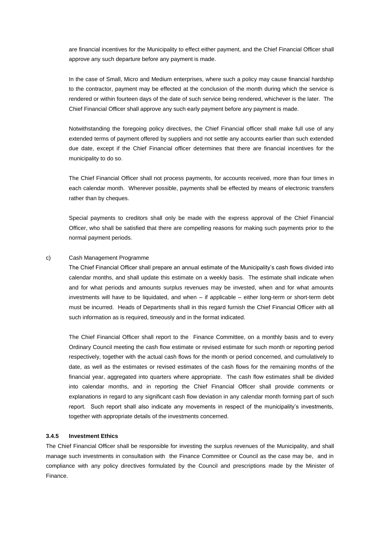are financial incentives for the Municipality to effect either payment, and the Chief Financial Officer shall approve any such departure before any payment is made.

In the case of Small, Micro and Medium enterprises, where such a policy may cause financial hardship to the contractor, payment may be effected at the conclusion of the month during which the service is rendered or within fourteen days of the date of such service being rendered, whichever is the later. The Chief Financial Officer shall approve any such early payment before any payment is made.

Notwithstanding the foregoing policy directives, the Chief Financial officer shall make full use of any extended terms of payment offered by suppliers and not settle any accounts earlier than such extended due date, except if the Chief Financial officer determines that there are financial incentives for the municipality to do so.

The Chief Financial Officer shall not process payments, for accounts received, more than four times in each calendar month. Wherever possible, payments shall be effected by means of electronic transfers rather than by cheques.

Special payments to creditors shall only be made with the express approval of the Chief Financial Officer, who shall be satisfied that there are compelling reasons for making such payments prior to the normal payment periods.

#### c) Cash Management Programme

The Chief Financial Officer shall prepare an annual estimate of the Municipality's cash flows divided into calendar months, and shall update this estimate on a weekly basis. The estimate shall indicate when and for what periods and amounts surplus revenues may be invested, when and for what amounts investments will have to be liquidated, and when – if applicable – either long-term or short-term debt must be incurred. Heads of Departments shall in this regard furnish the Chief Financial Officer with all such information as is required, timeously and in the format indicated.

The Chief Financial Officer shall report to the Finance Committee, on a monthly basis and to every Ordinary Council meeting the cash flow estimate or revised estimate for such month or reporting period respectively, together with the actual cash flows for the month or period concerned, and cumulatively to date, as well as the estimates or revised estimates of the cash flows for the remaining months of the financial year, aggregated into quarters where appropriate. The cash flow estimates shall be divided into calendar months, and in reporting the Chief Financial Officer shall provide comments or explanations in regard to any significant cash flow deviation in any calendar month forming part of such report. Such report shall also indicate any movements in respect of the municipality's investments, together with appropriate details of the investments concerned.

# **3.4.5 Investment Ethics**

The Chief Financial Officer shall be responsible for investing the surplus revenues of the Municipality, and shall manage such investments in consultation with the Finance Committee or Council as the case may be, and in compliance with any policy directives formulated by the Council and prescriptions made by the Minister of Finance.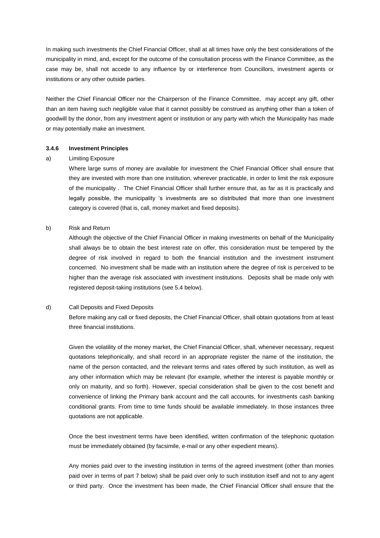In making such investments the Chief Financial Officer, shall at all times have only the best considerations of the municipality in mind, and, except for the outcome of the consultation process with the Finance Committee, as the case may be, shall not accede to any influence by or interference from Councillors, investment agents or institutions or any other outside parties.

Neither the Chief Financial Officer nor the Chairperson of the Finance Committee, may accept any gift, other than an item having such negligible value that it cannot possibly be construed as anything other than a token of goodwill by the donor, from any investment agent or institution or any party with which the Municipality has made or may potentially make an investment.

#### **3.4.6 Investment Principles**

#### a) Limiting Exposure

Where large sums of money are available for investment the Chief Financial Officer shall ensure that they are invested with more than one institution, wherever practicable, in order to limit the risk exposure of the municipality . The Chief Financial Officer shall further ensure that, as far as it is practically and legally possible, the municipality 's investments are so distributed that more than one investment category is covered (that is, call, money market and fixed deposits).

# b) Risk and Return

Although the objective of the Chief Financial Officer in making investments on behalf of the Municipality shall always be to obtain the best interest rate on offer, this consideration must be tempered by the degree of risk involved in regard to both the financial institution and the investment instrument concerned. No investment shall be made with an institution where the degree of risk is perceived to be higher than the average risk associated with investment institutions. Deposits shall be made only with registered deposit-taking institutions (see 5.4 below).

# d) Call Deposits and Fixed Deposits

Before making any call or fixed deposits, the Chief Financial Officer, shall obtain quotations from at least three financial institutions.

Given the volatility of the money market, the Chief Financial Officer, shall, whenever necessary, request quotations telephonically, and shall record in an appropriate register the name of the institution, the name of the person contacted, and the relevant terms and rates offered by such institution, as well as any other information which may be relevant (for example, whether the interest is payable monthly or only on maturity, and so forth). However, special consideration shall be given to the cost benefit and convenience of linking the Primary bank account and the call accounts, for investments cash banking conditional grants. From time to time funds should be available immediately. In those instances three quotations are not applicable.

Once the best investment terms have been identified, written confirmation of the telephonic quotation must be immediately obtained (by facsimile, e-mail or any other expedient means).

Any monies paid over to the investing institution in terms of the agreed investment (other than monies paid over in terms of part 7 below) shall be paid over only to such institution itself and not to any agent or third party. Once the investment has been made, the Chief Financial Officer shall ensure that the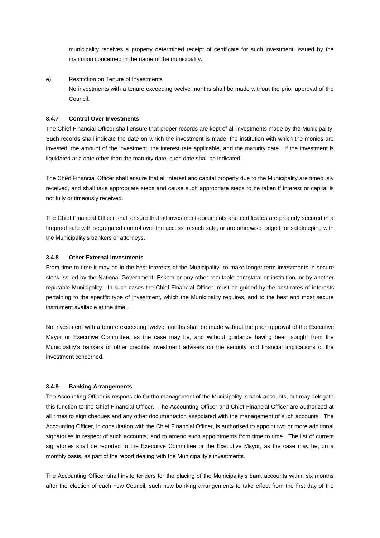municipality receives a property determined receipt of certificate for such investment, issued by the institution concerned in the name of the municipality.

e) Restriction on Tenure of Investments No investments with a tenure exceeding twelve months shall be made without the prior approval of the Council.

# **3.4.7 Control Over Investments**

The Chief Financial Officer shall ensure that proper records are kept of all investments made by the Municipality. Such records shall indicate the date on which the investment is made, the institution with which the monies are invested, the amount of the investment, the interest rate applicable, and the maturity date. If the investment is liquidated at a date other than the maturity date, such date shall be indicated.

The Chief Financial Officer shall ensure that all interest and capital property due to the Municipality are timeously received, and shall take appropriate steps and cause such appropriate steps to be taken if interest or capital is not fully or timeously received.

The Chief Financial Officer shall ensure that all investment documents and certificates are properly secured in a fireproof safe with segregated control over the access to such safe, or are otherwise lodged for safekeeping with the Municipality's bankers or attorneys.

#### **3.4.8 Other External Investments**

From time to time it may be in the best interests of the Municipality to make longer-term investments in secure stock issued by the National Government, Eskom or any other reputable parastatal or institution, or by another reputable Municipality. In such cases the Chief Financial Officer, must be guided by the best rates of interests pertaining to the specific type of investment, which the Municipality requires, and to the best and most secure instrument available at the time.

No investment with a tenure exceeding twelve months shall be made without the prior approval of the Executive Mayor or Executive Committee, as the case may be, and without guidance having been sought from the Municipality's bankers or other credible investment advisers on the security and financial implications of the investment concerned.

#### **3.4.9 Banking Arrangements**

The Accounting Officer is responsible for the management of the Municipality 's bank accounts, but may delegate this function to the Chief Financial Officer. The Accounting Officer and Chief Financial Officer are authorized at all times to sign cheques and any other documentation associated with the management of such accounts. The Accounting Officer, in consultation with the Chief Financial Officer, is authorised to appoint two or more additional signatories in respect of such accounts, and to amend such appointments from time to time. The list of current signatories shall be reported to the Executive Committee or the Executive Mayor, as the case may be, on a monthly basis, as part of the report dealing with the Municipality's investments.

The Accounting Officer shall invite tenders for the placing of the Municipality's bank accounts within six months after the election of each new Council, such new banking arrangements to take effect from the first day of the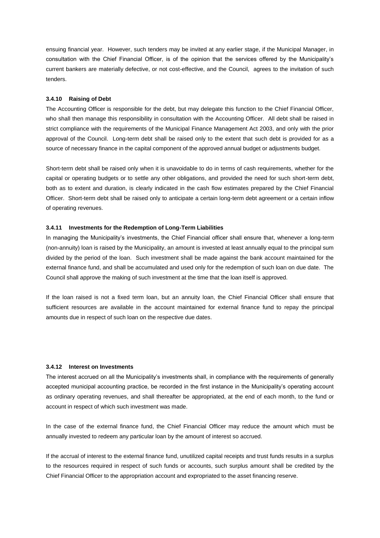ensuing financial year. However, such tenders may be invited at any earlier stage, if the Municipal Manager, in consultation with the Chief Financial Officer, is of the opinion that the services offered by the Municipality's current bankers are materially defective, or not cost-effective, and the Council, agrees to the invitation of such tenders.

#### **3.4.10 Raising of Debt**

The Accounting Officer is responsible for the debt, but may delegate this function to the Chief Financial Officer, who shall then manage this responsibility in consultation with the Accounting Officer. All debt shall be raised in strict compliance with the requirements of the Municipal Finance Management Act 2003, and only with the prior approval of the Council. Long-term debt shall be raised only to the extent that such debt is provided for as a source of necessary finance in the capital component of the approved annual budget or adjustments budget.

Short-term debt shall be raised only when it is unavoidable to do in terms of cash requirements, whether for the capital or operating budgets or to settle any other obligations, and provided the need for such short-term debt, both as to extent and duration, is clearly indicated in the cash flow estimates prepared by the Chief Financial Officer. Short-term debt shall be raised only to anticipate a certain long-term debt agreement or a certain inflow of operating revenues.

#### **3.4.11 Investments for the Redemption of Long-Term Liabilities**

In managing the Municipality's investments, the Chief Financial officer shall ensure that, whenever a long-term (non-annuity) loan is raised by the Municipality, an amount is invested at least annually equal to the principal sum divided by the period of the loan. Such investment shall be made against the bank account maintained for the external finance fund, and shall be accumulated and used only for the redemption of such loan on due date. The Council shall approve the making of such investment at the time that the loan itself is approved.

If the loan raised is not a fixed term loan, but an annuity loan, the Chief Financial Officer shall ensure that sufficient resources are available in the account maintained for external finance fund to repay the principal amounts due in respect of such loan on the respective due dates.

# **3.4.12 Interest on Investments**

The interest accrued on all the Municipality's investments shall, in compliance with the requirements of generally accepted municipal accounting practice, be recorded in the first instance in the Municipality's operating account as ordinary operating revenues, and shall thereafter be appropriated, at the end of each month, to the fund or account in respect of which such investment was made.

In the case of the external finance fund, the Chief Financial Officer may reduce the amount which must be annually invested to redeem any particular loan by the amount of interest so accrued.

If the accrual of interest to the external finance fund, unutilized capital receipts and trust funds results in a surplus to the resources required in respect of such funds or accounts, such surplus amount shall be credited by the Chief Financial Officer to the appropriation account and expropriated to the asset financing reserve.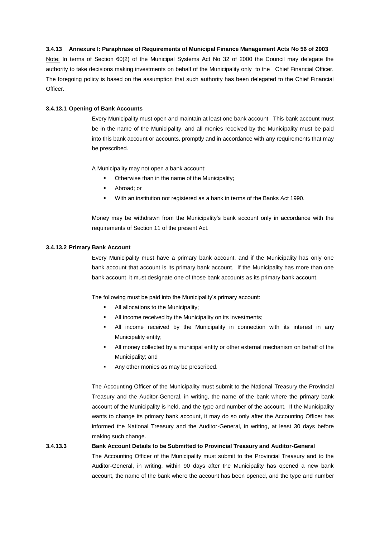#### **3.4.13 Annexure I: Paraphrase of Requirements of Municipal Finance Management Acts No 56 of 2003**

Note: In terms of Section 60(2) of the Municipal Systems Act No 32 of 2000 the Council may delegate the authority to take decisions making investments on behalf of the Municipality only to the Chief Financial Officer. The foregoing policy is based on the assumption that such authority has been delegated to the Chief Financial Officer.

# **3.4.13.1 Opening of Bank Accounts**

Every Municipality must open and maintain at least one bank account. This bank account must be in the name of the Municipality, and all monies received by the Municipality must be paid into this bank account or accounts, promptly and in accordance with any requirements that may be prescribed.

A Municipality may not open a bank account:

- Otherwise than in the name of the Municipality;
- Abroad; or
- With an institution not registered as a bank in terms of the Banks Act 1990.

Money may be withdrawn from the Municipality's bank account only in accordance with the requirements of Section 11 of the present Act.

# **3.4.13.2 Primary Bank Account**

Every Municipality must have a primary bank account, and if the Municipality has only one bank account that account is its primary bank account. If the Municipality has more than one bank account, it must designate one of those bank accounts as its primary bank account.

The following must be paid into the Municipality's primary account:

- All allocations to the Municipality;
- All income received by the Municipality on its investments;
- All income received by the Municipality in connection with its interest in any Municipality entity;
- All money collected by a municipal entity or other external mechanism on behalf of the Municipality; and
- Any other monies as may be prescribed.

The Accounting Officer of the Municipality must submit to the National Treasury the Provincial Treasury and the Auditor-General, in writing, the name of the bank where the primary bank account of the Municipality is held, and the type and number of the account. If the Municipality wants to change its primary bank account, it may do so only after the Accounting Officer has informed the National Treasury and the Auditor-General, in writing, at least 30 days before making such change.

# **3.4.13.3 Bank Account Details to be Submitted to Provincial Treasury and Auditor-General**

The Accounting Officer of the Municipality must submit to the Provincial Treasury and to the Auditor-General, in writing, within 90 days after the Municipality has opened a new bank account, the name of the bank where the account has been opened, and the type and number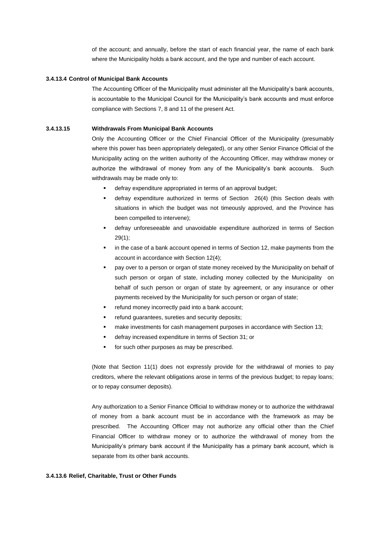of the account; and annually, before the start of each financial year, the name of each bank where the Municipality holds a bank account, and the type and number of each account.

#### **3.4.13.4 Control of Municipal Bank Accounts**

The Accounting Officer of the Municipality must administer all the Municipality's bank accounts, is accountable to the Municipal Council for the Municipality's bank accounts and must enforce compliance with Sections 7, 8 and 11 of the present Act.

### **3.4.13.15 Withdrawals From Municipal Bank Accounts**

Only the Accounting Officer or the Chief Financial Officer of the Municipality (presumably where this power has been appropriately delegated), or any other Senior Finance Official of the Municipality acting on the written authority of the Accounting Officer, may withdraw money or authorize the withdrawal of money from any of the Municipality's bank accounts. Such withdrawals may be made only to:

- defray expenditure appropriated in terms of an approval budget;
- defray expenditure authorized in terms of Section 26(4) (this Section deals with situations in which the budget was not timeously approved, and the Province has been compelled to intervene);
- defray unforeseeable and unavoidable expenditure authorized in terms of Section 29(1);
- in the case of a bank account opened in terms of Section 12, make payments from the account in accordance with Section 12(4);
- pay over to a person or organ of state money received by the Municipality on behalf of such person or organ of state, including money collected by the Municipality on behalf of such person or organ of state by agreement, or any insurance or other payments received by the Municipality for such person or organ of state;
- refund money incorrectly paid into a bank account;
- refund guarantees, sureties and security deposits;
- make investments for cash management purposes in accordance with Section 13;
- defray increased expenditure in terms of Section 31; or
- **for such other purposes as may be prescribed.**

(Note that Section 11(1) does not expressly provide for the withdrawal of monies to pay creditors, where the relevant obligations arose in terms of the previous budget; to repay loans; or to repay consumer deposits).

Any authorization to a Senior Finance Official to withdraw money or to authorize the withdrawal of money from a bank account must be in accordance with the framework as may be prescribed. The Accounting Officer may not authorize any official other than the Chief Financial Officer to withdraw money or to authorize the withdrawal of money from the Municipality's primary bank account if the Municipality has a primary bank account, which is separate from its other bank accounts.

#### **3.4.13.6 Relief, Charitable, Trust or Other Funds**